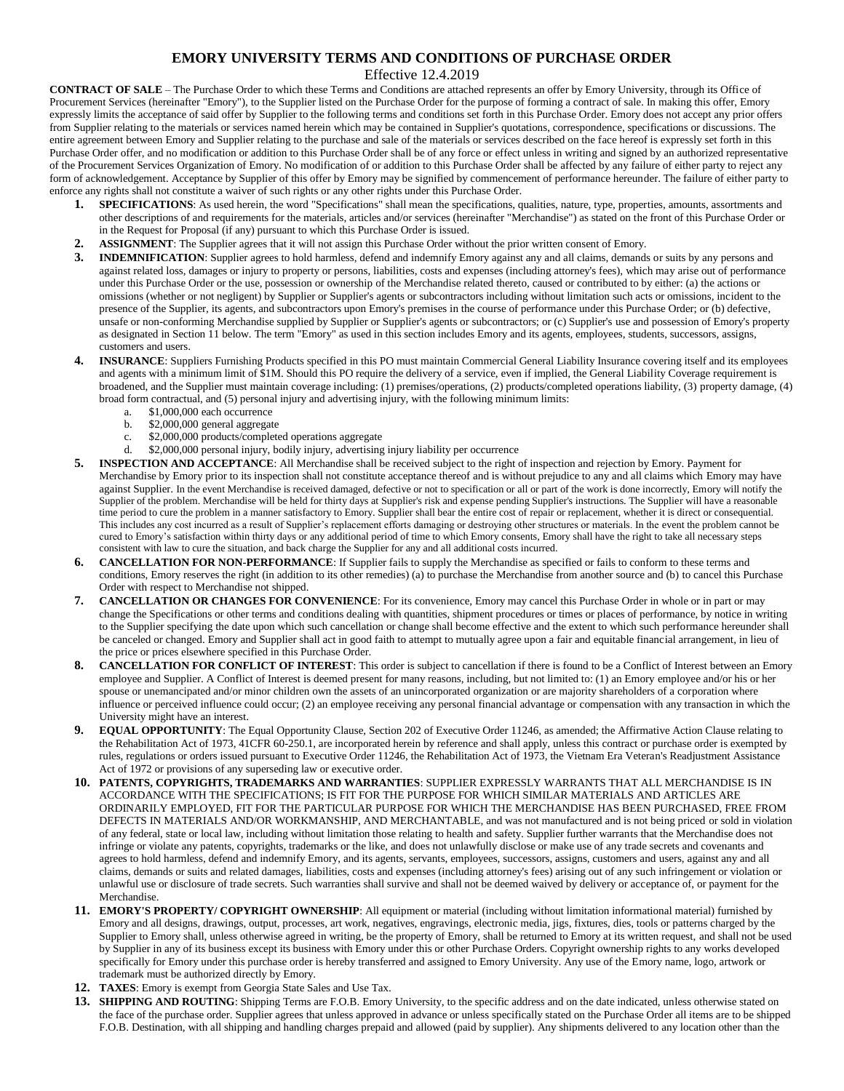## **EMORY UNIVERSITY TERMS AND CONDITIONS OF PURCHASE ORDER**

Effective 12.4.2019

**CONTRACT OF SALE** – The Purchase Order to which these Terms and Conditions are attached represents an offer by Emory University, through its Office of Procurement Services (hereinafter "Emory"), to the Supplier listed on the Purchase Order for the purpose of forming a contract of sale. In making this offer, Emory expressly limits the acceptance of said offer by Supplier to the following terms and conditions set forth in this Purchase Order. Emory does not accept any prior offers from Supplier relating to the materials or services named herein which may be contained in Supplier's quotations, correspondence, specifications or discussions. The entire agreement between Emory and Supplier relating to the purchase and sale of the materials or services described on the face hereof is expressly set forth in this Purchase Order offer, and no modification or addition to this Purchase Order shall be of any force or effect unless in writing and signed by an authorized representative of the Procurement Services Organization of Emory. No modification of or addition to this Purchase Order shall be affected by any failure of either party to reject any form of acknowledgement. Acceptance by Supplier of this offer by Emory may be signified by commencement of performance hereunder. The failure of either party to enforce any rights shall not constitute a waiver of such rights or any other rights under this Purchase Order.

- **1. SPECIFICATIONS**: As used herein, the word "Specifications" shall mean the specifications, qualities, nature, type, properties, amounts, assortments and other descriptions of and requirements for the materials, articles and/or services (hereinafter "Merchandise") as stated on the front of this Purchase Order or in the Request for Proposal (if any) pursuant to which this Purchase Order is issued.
- **2. ASSIGNMENT**: The Supplier agrees that it will not assign this Purchase Order without the prior written consent of Emory.
- **3. INDEMNIFICATION**: Supplier agrees to hold harmless, defend and indemnify Emory against any and all claims, demands or suits by any persons and against related loss, damages or injury to property or persons, liabilities, costs and expenses (including attorney's fees), which may arise out of performance under this Purchase Order or the use, possession or ownership of the Merchandise related thereto, caused or contributed to by either: (a) the actions or omissions (whether or not negligent) by Supplier or Supplier's agents or subcontractors including without limitation such acts or omissions, incident to the presence of the Supplier, its agents, and subcontractors upon Emory's premises in the course of performance under this Purchase Order; or (b) defective, unsafe or non-conforming Merchandise supplied by Supplier or Supplier's agents or subcontractors; or (c) Supplier's use and possession of Emory's property as designated in Section 11 below. The term "Emory" as used in this section includes Emory and its agents, employees, students, successors, assigns, customers and users.
- **4. INSURANCE**: Suppliers Furnishing Products specified in this PO must maintain Commercial General Liability Insurance covering itself and its employees and agents with a minimum limit of \$1M. Should this PO require the delivery of a service, even if implied, the General Liability Coverage requirement is broadened, and the Supplier must maintain coverage including: (1) premises/operations, (2) products/completed operations liability, (3) property damage, (4) broad form contractual, and (5) personal injury and advertising injury, with the following minimum limits:
	- a. \$1,000,000 each occurrence
	- b. \$2,000,000 general aggregate
	- c. \$2,000,000 products/completed operations aggregate
	- d. \$2,000,000 personal injury, bodily injury, advertising injury liability per occurrence
- **5. INSPECTION AND ACCEPTANCE**: All Merchandise shall be received subject to the right of inspection and rejection by Emory. Payment for Merchandise by Emory prior to its inspection shall not constitute acceptance thereof and is without prejudice to any and all claims which Emory may have against Supplier. In the event Merchandise is received damaged, defective or not to specification or all or part of the work is done incorrectly, Emory will notify the Supplier of the problem. Merchandise will be held for thirty days at Supplier's risk and expense pending Supplier's instructions. The Supplier will have a reasonable time period to cure the problem in a manner satisfactory to Emory. Supplier shall bear the entire cost of repair or replacement, whether it is direct or consequential. This includes any cost incurred as a result of Supplier's replacement efforts damaging or destroying other structures or materials. In the event the problem cannot be cured to Emory's satisfaction within thirty days or any additional period of time to which Emory consents, Emory shall have the right to take all necessary steps consistent with law to cure the situation, and back charge the Supplier for any and all additional costs incurred.
- **6. CANCELLATION FOR NON-PERFORMANCE**: If Supplier fails to supply the Merchandise as specified or fails to conform to these terms and conditions, Emory reserves the right (in addition to its other remedies) (a) to purchase the Merchandise from another source and (b) to cancel this Purchase Order with respect to Merchandise not shipped.
- **7. CANCELLATION OR CHANGES FOR CONVENIENCE**: For its convenience, Emory may cancel this Purchase Order in whole or in part or may change the Specifications or other terms and conditions dealing with quantities, shipment procedures or times or places of performance, by notice in writing to the Supplier specifying the date upon which such cancellation or change shall become effective and the extent to which such performance hereunder shall be canceled or changed. Emory and Supplier shall act in good faith to attempt to mutually agree upon a fair and equitable financial arrangement, in lieu of the price or prices elsewhere specified in this Purchase Order.
- **8. CANCELLATION FOR CONFLICT OF INTEREST**: This order is subject to cancellation if there is found to be a Conflict of Interest between an Emory employee and Supplier. A Conflict of Interest is deemed present for many reasons, including, but not limited to: (1) an Emory employee and/or his or her spouse or unemancipated and/or minor children own the assets of an unincorporated organization or are majority shareholders of a corporation where influence or perceived influence could occur; (2) an employee receiving any personal financial advantage or compensation with any transaction in which the University might have an interest.
- **9. EQUAL OPPORTUNITY**: The Equal Opportunity Clause, Section 202 of Executive Order 11246, as amended; the Affirmative Action Clause relating to the Rehabilitation Act of 1973, 41CFR 60-250.1, are incorporated herein by reference and shall apply, unless this contract or purchase order is exempted by rules, regulations or orders issued pursuant to Executive Order 11246, the Rehabilitation Act of 1973, the Vietnam Era Veteran's Readjustment Assistance Act of 1972 or provisions of any superseding law or executive order.
- **10. PATENTS, COPYRIGHTS, TRADEMARKS AND WARRANTIES**: SUPPLIER EXPRESSLY WARRANTS THAT ALL MERCHANDISE IS IN ACCORDANCE WITH THE SPECIFICATIONS; IS FIT FOR THE PURPOSE FOR WHICH SIMILAR MATERIALS AND ARTICLES ARE ORDINARILY EMPLOYED, FIT FOR THE PARTICULAR PURPOSE FOR WHICH THE MERCHANDISE HAS BEEN PURCHASED, FREE FROM DEFECTS IN MATERIALS AND/OR WORKMANSHIP, AND MERCHANTABLE, and was not manufactured and is not being priced or sold in violation of any federal, state or local law, including without limitation those relating to health and safety. Supplier further warrants that the Merchandise does not infringe or violate any patents, copyrights, trademarks or the like, and does not unlawfully disclose or make use of any trade secrets and covenants and agrees to hold harmless, defend and indemnify Emory, and its agents, servants, employees, successors, assigns, customers and users, against any and all claims, demands or suits and related damages, liabilities, costs and expenses (including attorney's fees) arising out of any such infringement or violation or unlawful use or disclosure of trade secrets. Such warranties shall survive and shall not be deemed waived by delivery or acceptance of, or payment for the Merchandise.
- **11. EMORY'S PROPERTY/ COPYRIGHT OWNERSHIP**: All equipment or material (including without limitation informational material) furnished by Emory and all designs, drawings, output, processes, art work, negatives, engravings, electronic media, jigs, fixtures, dies, tools or patterns charged by the Supplier to Emory shall, unless otherwise agreed in writing, be the property of Emory, shall be returned to Emory at its written request, and shall not be used by Supplier in any of its business except its business with Emory under this or other Purchase Orders. Copyright ownership rights to any works developed specifically for Emory under this purchase order is hereby transferred and assigned to Emory University. Any use of the Emory name, logo, artwork or trademark must be authorized directly by Emory.
- **12. TAXES**: Emory is exempt from Georgia State Sales and Use Tax.
- **13. SHIPPING AND ROUTING**: Shipping Terms are F.O.B. Emory University, to the specific address and on the date indicated, unless otherwise stated on the face of the purchase order. Supplier agrees that unless approved in advance or unless specifically stated on the Purchase Order all items are to be shipped F.O.B. Destination, with all shipping and handling charges prepaid and allowed (paid by supplier). Any shipments delivered to any location other than the